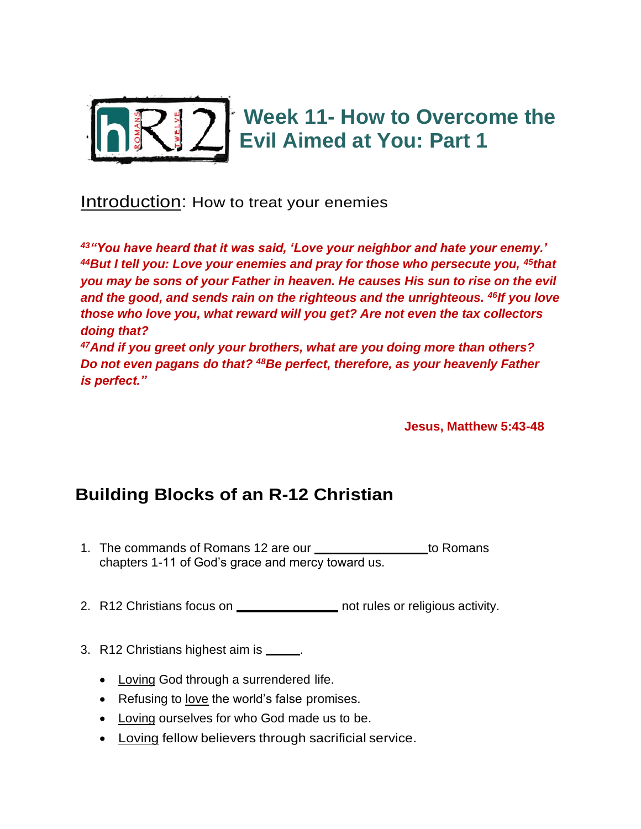

Introduction: How to treat your enemies

*<sup>43</sup>"You have heard that it was said, 'Love your neighbor and hate your enemy.' <sup>44</sup>But I tell you: Love your enemies and pray for those who persecute you, <sup>45</sup>that you may be sons of your Father in heaven. He causes His sun to rise on the evil and the good, and sends rain on the righteous and the unrighteous. <sup>46</sup>If you love those who love you, what reward will you get? Are not even the tax collectors doing that? <sup>47</sup>And if you greet only your brothers, what are you doing more than others?* 

*Do not even pagans do that? <sup>48</sup>Be perfect, therefore, as your heavenly Father is perfect."*

**Jesus, Matthew 5:43-48** 

## **Building Blocks of an R-12 Christian**

- 1. The commands of Romans 12 are our **FAITH RESPONSE 1. The COMMANS** chapters 1-11 of God's grace and mercy toward us.
- 2. R12 Christians focus on **RELACTIONS** not rules or religious activity.
- 3. R12 Christians highest aim is **LACC** 
	- Loving God through a surrendered life.
	- Refusing to love the world's false promises.
	- Loving ourselves for who God made us to be.
	- Loving fellow believers through sacrificial service.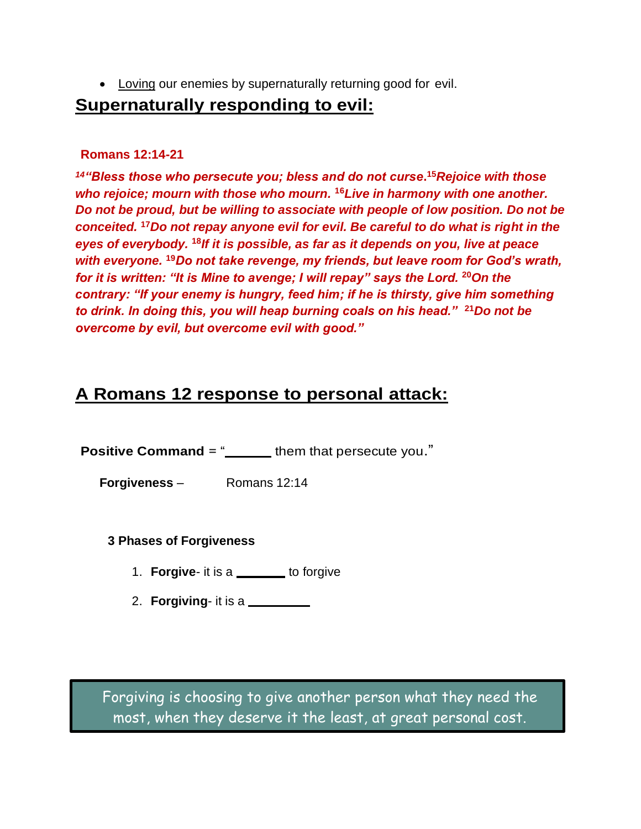• Loving our enemies by supernaturally returning good for evil.

## **Supernaturally responding to evil:**

## **Romans 12:14-21**

*<sup>14</sup>"Bless those who persecute you; bless and do not curse***. <sup>15</sup>***Rejoice with those who rejoice; mourn with those who mourn.* **<sup>16</sup>***Live in harmony with one another. Do not be proud, but be willing to associate with people of low position. Do not be conceited.* **<sup>17</sup>***Do not repay anyone evil for evil. Be careful to do what is right in the eyes of everybody.* **<sup>18</sup>***If it is possible, as far as it depends on you, live at peace with everyone.* **<sup>19</sup>***Do not take revenge, my friends, but leave room for God's wrath, for it is written: "It is Mine to avenge; I will repay" says the Lord.* **<sup>20</sup>***On the contrary: "If your enemy is hungry, feed him; if he is thirsty, give him something to drink. In doing this, you will heap burning coals on his head."* **<sup>21</sup>***Do not be overcome by evil, but overcome evil with good."*

## **A Romans 12 response to personal attack:**

**Positive Command** = " **BLESP** them that persecute you."

**Forgiveness** – Romans 12:14

**3 Phases of Forgiveness**

- 1. **Forgive** it is a \_\_\_\_\_\_ to forgive
- 2. **Forgiving** it is a

Forgiving is choosing to give another person what they need the most, when they deserve it the least, at great personal cost.